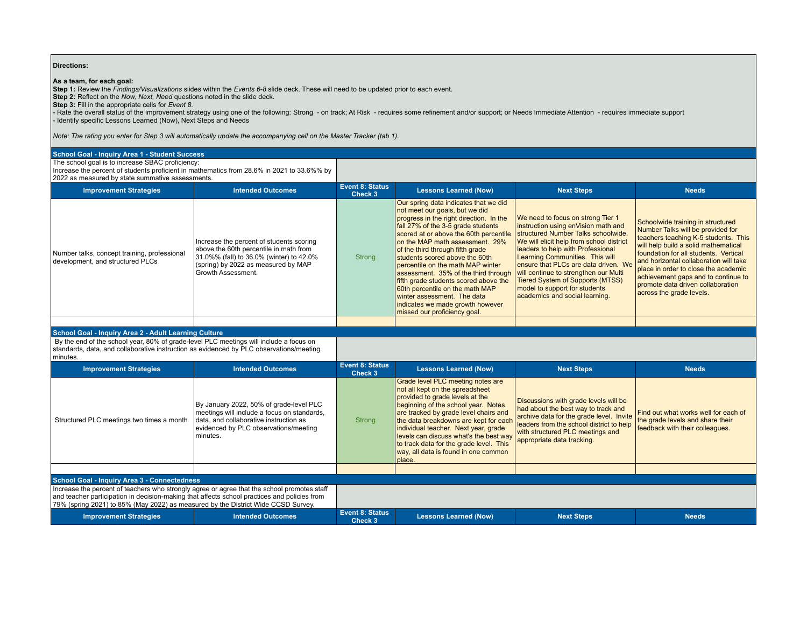## **Directions:**

**As a team, for each goal:**<br>Step 1: Review the *Findings/Visualizations* slides within the *Events 6-8* slide deck. These will need to be updated prior to each event.<br>Step 2: Reflect on the *Now, Next, Need* questions not

- Rate the overall status of the improvement strategy using one of the following: Strong - on track; At Risk - requires some refinement and/or support; or Needs Immediate Attention - requires immediate support - Identify specific Lessons Learned (Now), Next Steps and Needs

*Note: The rating you enter for Step 3 will automatically update the accompanying cell on the Master Tracker (tab 1).*

## **School Goal - Inquiry Area 1 - Student Success**

The school goal is to increase SBAC proficiency:

Increase the percent of students proficient in mathematics from 28.6% in 2021 to 33.6%% by 2022 as measured by state summative assessments

| <u>LULL US mcasurca by state summative assessments.</u>                          |                                                                                                                                                                                             |                                   |                                                                                                                                                                                                                                                                                                                                                                                                                                                                                                                                                                         |                                                                                                                                                                                                                                                                                                                                                                                                                                    |                                                                                                                                                                                                                                                                                                                                                                                             |  |
|----------------------------------------------------------------------------------|---------------------------------------------------------------------------------------------------------------------------------------------------------------------------------------------|-----------------------------------|-------------------------------------------------------------------------------------------------------------------------------------------------------------------------------------------------------------------------------------------------------------------------------------------------------------------------------------------------------------------------------------------------------------------------------------------------------------------------------------------------------------------------------------------------------------------------|------------------------------------------------------------------------------------------------------------------------------------------------------------------------------------------------------------------------------------------------------------------------------------------------------------------------------------------------------------------------------------------------------------------------------------|---------------------------------------------------------------------------------------------------------------------------------------------------------------------------------------------------------------------------------------------------------------------------------------------------------------------------------------------------------------------------------------------|--|
| <b>Improvement Strategies</b>                                                    | <b>Intended Outcomes</b>                                                                                                                                                                    | <b>Event 8: Status</b><br>Check 3 | <b>Lessons Learned (Now)</b>                                                                                                                                                                                                                                                                                                                                                                                                                                                                                                                                            | <b>Next Steps</b>                                                                                                                                                                                                                                                                                                                                                                                                                  | <b>Needs</b>                                                                                                                                                                                                                                                                                                                                                                                |  |
| Number talks, concept training, professional<br>development, and structured PLCs | Increase the percent of students scoring<br>above the 60th percentile in math from<br>31.0%% (fall) to 36.0% (winter) to 42.0%<br>(spring) by 2022 as measured by MAP<br>Growth Assessment. | Strong                            | Our spring data indicates that we did<br>not meet our goals, but we did<br>progress in the right direction. In the<br>fall 27% of the 3-5 grade students<br>scored at or above the 60th percentile<br>on the MAP math assessment. 29%<br>of the third through fifth grade<br>students scored above the 60th<br>percentile on the math MAP winter<br>assessment. 35% of the third through<br>fifth grade students scored above the<br>60th percentile on the math MAP<br>winter assessment. The data<br>indicates we made growth however<br>missed our proficiency goal. | We need to focus on strong Tier 1<br>instruction using enVision math and<br>structured Number Talks schoolwide.<br>We will elicit help from school district<br>leaders to help with Professional<br>Learning Communities. This will<br>ensure that PLCs are data driven. We<br>will continue to strengthen our Multi<br><b>Tiered System of Supports (MTSS)</b><br>model to support for students<br>academics and social learning. | Schoolwide training in structured<br>Number Talks will be provided for<br>teachers teaching K-5 students. This<br>will help build a solid mathematical<br>foundation for all students. Vertical<br>and horizontal collaboration will take<br>I place in order to close the academic<br>achievement gaps and to continue to<br>promote data driven collaboration<br>across the grade levels. |  |
|                                                                                  |                                                                                                                                                                                             |                                   |                                                                                                                                                                                                                                                                                                                                                                                                                                                                                                                                                                         |                                                                                                                                                                                                                                                                                                                                                                                                                                    |                                                                                                                                                                                                                                                                                                                                                                                             |  |

## **School Goal - Inquiry Area 2 - Adult Learning Culture**

 By the end of the school year, 80% of grade-level PLC meetings will include a focus on standards, data, and collaborative instruction as evidenced by PLC observations/meeting minutes.

| <b>Improvement Strategies</b>                                                                                                                                                                                                                                                    | <b>Intended Outcomes</b>                                                                                                                                                              | Event 8: Status<br>Check 3        | <b>Lessons Learned (Now)</b>                                                                                                                                                                                                                                                                                                                                                                                    | <b>Next Steps</b>                                                                                                                                                                                                                                                       | <b>Needs</b>                                                            |
|----------------------------------------------------------------------------------------------------------------------------------------------------------------------------------------------------------------------------------------------------------------------------------|---------------------------------------------------------------------------------------------------------------------------------------------------------------------------------------|-----------------------------------|-----------------------------------------------------------------------------------------------------------------------------------------------------------------------------------------------------------------------------------------------------------------------------------------------------------------------------------------------------------------------------------------------------------------|-------------------------------------------------------------------------------------------------------------------------------------------------------------------------------------------------------------------------------------------------------------------------|-------------------------------------------------------------------------|
| Structured PLC meetings two times a month                                                                                                                                                                                                                                        | By January 2022, 50% of grade-level PLC<br>meetings will include a focus on standards,<br>data, and collaborative instruction as<br>evidenced by PLC observations/meeting<br>minutes. | Strong                            | Grade level PLC meeting notes are<br>not all kept on the spreadsheet<br>provided to grade levels at the<br>beginning of the school year. Notes<br>are tracked by grade level chairs and<br>the data breakdowns are kept for each<br>individual teacher. Next year, grade<br>levels can discuss what's the best way<br>to track data for the grade level. This<br>way, all data is found in one common<br>place. | Discussions with grade levels will be<br>had about the best way to track and<br>archive data for the grade level. Invite the grade levels and share their<br>leaders from the school district to help<br>with structured PLC meetings and<br>appropriate data tracking. | Find out what works well for each of<br>feedback with their colleagues. |
|                                                                                                                                                                                                                                                                                  |                                                                                                                                                                                       |                                   |                                                                                                                                                                                                                                                                                                                                                                                                                 |                                                                                                                                                                                                                                                                         |                                                                         |
| <b>School Goal - Inquiry Area 3 - Connectedness</b>                                                                                                                                                                                                                              |                                                                                                                                                                                       |                                   |                                                                                                                                                                                                                                                                                                                                                                                                                 |                                                                                                                                                                                                                                                                         |                                                                         |
| Increase the percent of teachers who strongly agree or agree that the school promotes staff<br>and teacher participation in decision-making that affects school practices and policies from<br>79% (spring 2021) to 85% (May 2022) as measured by the District Wide CCSD Survey. |                                                                                                                                                                                       |                                   |                                                                                                                                                                                                                                                                                                                                                                                                                 |                                                                                                                                                                                                                                                                         |                                                                         |
| <b>Improvement Strategies</b>                                                                                                                                                                                                                                                    | <b>Intended Outcomes</b>                                                                                                                                                              | <b>Event 8: Status</b><br>Check 3 | <b>Lessons Learned (Now)</b>                                                                                                                                                                                                                                                                                                                                                                                    | <b>Next Steps</b>                                                                                                                                                                                                                                                       | <b>Needs</b>                                                            |